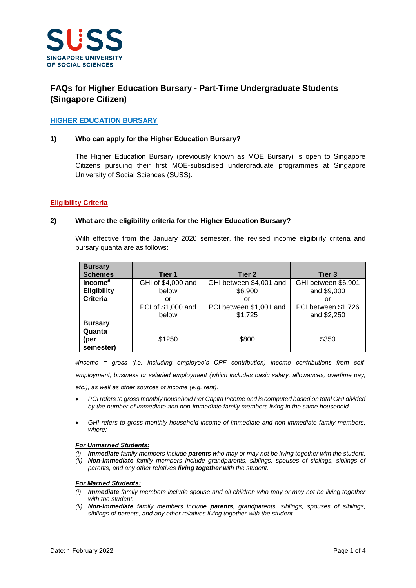

# **FAQs for Higher Education Bursary - Part-Time Undergraduate Students (Singapore Citizen)**

# **HIGHER EDUCATION BURSARY**

#### **1) Who can apply for the Higher Education Bursary?**

The Higher Education Bursary (previously known as MOE Bursary) is open to Singapore Citizens pursuing their first MOE-subsidised undergraduate programmes at Singapore University of Social Sciences (SUSS).

#### **Eligibility Criteria**

#### **2) What are the eligibility criteria for the Higher Education Bursary?**

With effective from the January 2020 semester, the revised income eligibility criteria and bursary quanta are as follows:

| <b>Bursary</b>     |                    |                         |                     |
|--------------------|--------------------|-------------------------|---------------------|
| <b>Schemes</b>     | Tier 1             | Tier 2                  | Tier 3              |
| $Income#$          | GHI of \$4,000 and | GHI between \$4,001 and | GHI between \$6,901 |
| <b>Eligibility</b> | below              | \$6,900                 | and \$9,000         |
| <b>Criteria</b>    | or                 | or                      | or                  |
|                    | PCI of \$1,000 and | PCI between \$1,001 and | PCI between \$1,726 |
|                    | below              | \$1,725                 | and \$2,250         |
| <b>Bursary</b>     |                    |                         |                     |
| Quanta             |                    |                         |                     |
| (per               | \$1250             | \$800                   | \$350               |
| semester)          |                    |                         |                     |

*#Income = gross (i.e. including employee's CPF contribution) income contributions from self-*

*employment, business or salaried employment (which includes basic salary, allowances, overtime pay,* 

*etc.), as well as other sources of income (e.g. rent).*

- *PCI refers to gross monthly household Per Capita Income and is computed based on total GHI divided by the number of immediate and non-immediate family members living in the same household.*
- *GHI refers to gross monthly household income of immediate and non-immediate family members, where:*

#### *For Unmarried Students:*

- *(i) Immediate family members include parents who may or may not be living together with the student.*
- *(ii) Non-immediate family members include grandparents, siblings, spouses of siblings, siblings of parents, and any other relatives living together with the student.*

#### *For Married Students:*

- *(i) Immediate family members include spouse and all children who may or may not be living together with the student.*
- *(ii) Non-immediate family members include parents, grandparents, siblings, spouses of siblings, siblings of parents, and any other relatives living together with the student.*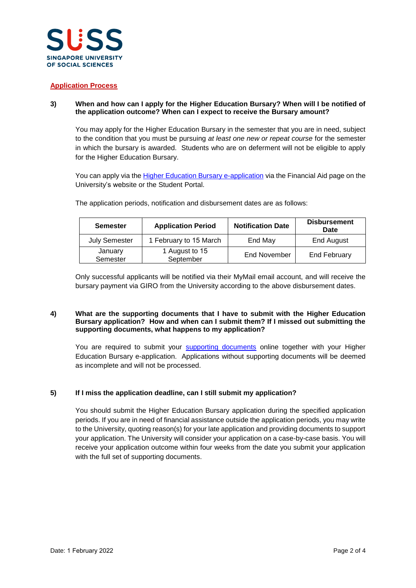

# **Application Process**

# **3) When and how can I apply for the Higher Education Bursary? When will I be notified of the application outcome? When can I expect to receive the Bursary amount?**

You may apply for the Higher Education Bursary in the semester that you are in need, subject to the condition that you must be pursuing *at least one new or repeat course* for the semester in which the bursary is awarded. Students who are on deferment will not be eligible to apply for the Higher Education Bursary.

You can apply via the [Higher Education Bursary](https://www.suss.edu.sg/EService/eApps/FinancialAideApplication/FinancialAideApplicationLogin.aspx?modeOfStudy=PT) e-application via the Financial Aid page on the University's website or the Student Portal.

| <b>Semester</b>      | <b>Application Period</b>   | <b>Notification Date</b> | <b>Disbursement</b><br>Date |
|----------------------|-----------------------------|--------------------------|-----------------------------|
| <b>July Semester</b> | 1 February to 15 March      | End May                  | End August                  |
| January<br>Semester  | 1 August to 15<br>September | End November             | <b>End February</b>         |

The application periods, notification and disbursement dates are as follows:

Only successful applicants will be notified via their MyMail email account, and will receive the bursary payment via GIRO from the University according to the above disbursement dates.

#### **4) What are the supporting documents that I have to submit with the Higher Education Bursary application? How and when can I submit them? If I missed out submitting the supporting documents, what happens to my application?**

You are required to submit your [supporting documents](https://www.suss.edu.sg/docs/default-source/contentdoc/sa/ptug-financialaidchecklistdeclarationform.pdf) online together with your Higher Education Bursary e-application. Applications without supporting documents will be deemed as incomplete and will not be processed.

# **5) If I miss the application deadline, can I still submit my application?**

You should submit the Higher Education Bursary application during the specified application periods. If you are in need of financial assistance outside the application periods, you may write to the University, quoting reason(s) for your late application and providing documents to support your application. The University will consider your application on a case-by-case basis. You will receive your application outcome within four weeks from the date you submit your application with the full set of supporting documents.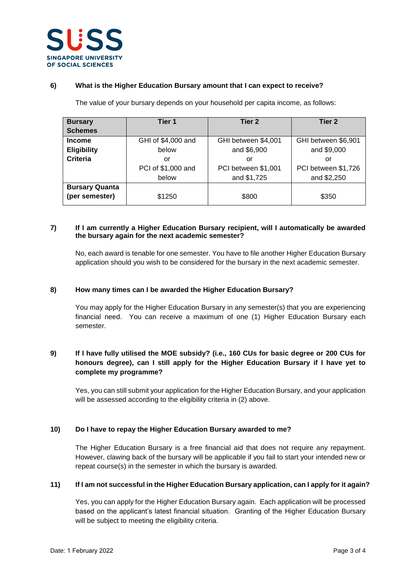

### **6) What is the Higher Education Bursary amount that I can expect to receive?**

The value of your bursary depends on your household per capita income, as follows:

| <b>Bursary</b>        | Tier 1             | Tier 2              | Tier 2              |
|-----------------------|--------------------|---------------------|---------------------|
| <b>Schemes</b>        |                    |                     |                     |
| <b>Income</b>         | GHI of \$4,000 and | GHI between \$4,001 | GHI between \$6,901 |
| <b>Eligibility</b>    | below              | and \$6,900         | and \$9,000         |
| <b>Criteria</b>       | or                 | or                  | or                  |
|                       | PCI of \$1,000 and | PCI between \$1,001 | PCI between \$1,726 |
|                       | below              | and \$1,725         | and \$2,250         |
| <b>Bursary Quanta</b> |                    |                     |                     |
| (per semester)        | \$1250             | \$800               | \$350               |

### **7) If I am currently a Higher Education Bursary recipient, will I automatically be awarded the bursary again for the next academic semester?**

No, each award is tenable for one semester. You have to file another Higher Education Bursary application should you wish to be considered for the bursary in the next academic semester.

### **8) How many times can I be awarded the Higher Education Bursary?**

You may apply for the Higher Education Bursary in any semester(s) that you are experiencing financial need. You can receive a maximum of one (1) Higher Education Bursary each semester.

# **9) If I have fully utilised the MOE subsidy? (i.e., 160 CUs for basic degree or 200 CUs for honours degree), can I still apply for the Higher Education Bursary if I have yet to complete my programme?**

Yes, you can still submit your application for the Higher Education Bursary, and your application will be assessed according to the eligibility criteria in (2) above.

# **10) Do I have to repay the Higher Education Bursary awarded to me?**

The Higher Education Bursary is a free financial aid that does not require any repayment. However, clawing back of the bursary will be applicable if you fail to start your intended new or repeat course(s) in the semester in which the bursary is awarded.

# **11) If I am not successful in the Higher Education Bursary application, can I apply for it again?**

Yes, you can apply for the Higher Education Bursary again. Each application will be processed based on the applicant's latest financial situation. Granting of the Higher Education Bursary will be subject to meeting the eligibility criteria.